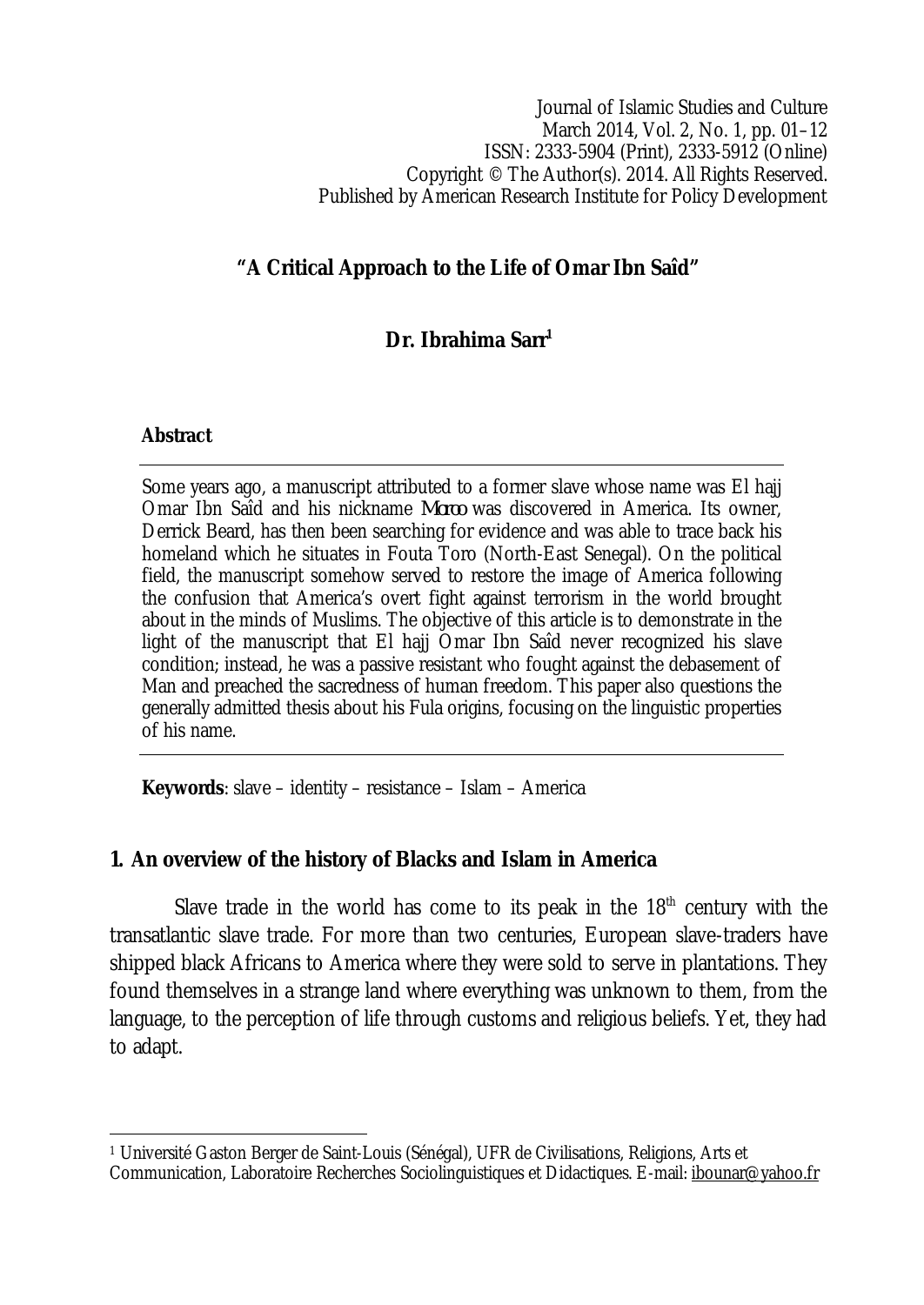Journal of Islamic Studies and Culture March 2014, Vol. 2, No. 1, pp. 01–12 ISSN: 2333-5904 (Print), 2333-5912 (Online) Copyright © The Author(s). 2014. All Rights Reserved. Published by American Research Institute for Policy Development

### **"A Critical Approach to the Life of Omar Ibn Saîd"**

# **Dr. Ibrahima Sarr<sup>1</sup>**

#### **Abstract**

 $\overline{\phantom{a}}$ 

Some years ago, a manuscript attributed to a former slave whose name was El hajj Omar Ibn Saîd and his nickname *Moroo* was discovered in America. Its owner, Derrick Beard, has then been searching for evidence and was able to trace back his homeland which he situates in Fouta Toro (North-East Senegal). On the political field, the manuscript somehow served to restore the image of America following the confusion that America's overt fight against terrorism in the world brought about in the minds of Muslims. The objective of this article is to demonstrate in the light of the manuscript that El hajj Omar Ibn Saîd never recognized his slave condition; instead, he was a passive resistant who fought against the debasement of Man and preached the sacredness of human freedom. This paper also questions the generally admitted thesis about his Fula origins, focusing on the linguistic properties of his name.

**Keywords**: slave – identity – resistance – Islam – America

#### **1. An overview of the history of Blacks and Islam in America**

Slave trade in the world has come to its peak in the 18<sup>th</sup> century with the transatlantic slave trade. For more than two centuries, European slave-traders have shipped black Africans to America where they were sold to serve in plantations. They found themselves in a strange land where everything was unknown to them, from the language, to the perception of life through customs and religious beliefs. Yet, they had to adapt.

<sup>1</sup> Université Gaston Berger de Saint-Louis (Sénégal), UFR de Civilisations, Religions, Arts et Communication, Laboratoire Recherches Sociolinguistiques et Didactiques. E-mail: ibounar@yahoo.fr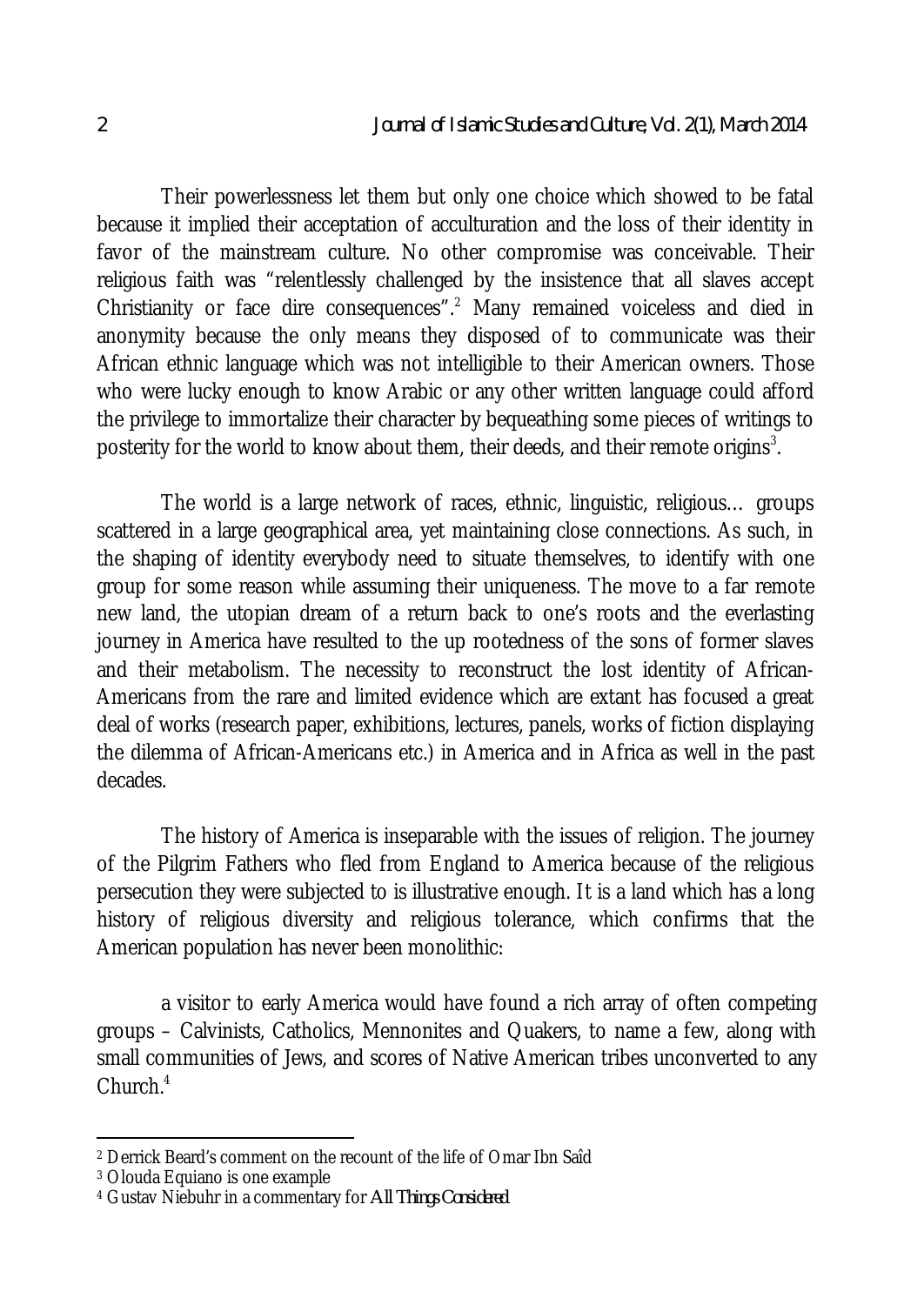Their powerlessness let them but only one choice which showed to be fatal because it implied their acceptation of acculturation and the loss of their identity in favor of the mainstream culture. No other compromise was conceivable. Their religious faith was "relentlessly challenged by the insistence that all slaves accept Christianity or face dire consequences".<sup>2</sup> Many remained voiceless and died in anonymity because the only means they disposed of to communicate was their African ethnic language which was not intelligible to their American owners. Those who were lucky enough to know Arabic or any other written language could afford the privilege to immortalize their character by bequeathing some pieces of writings to posterity for the world to know about them, their deeds, and their remote origins $^3$ .

The world is a large network of races, ethnic, linguistic, religious… groups scattered in a large geographical area, yet maintaining close connections. As such, in the shaping of identity everybody need to situate themselves, to identify with one group for some reason while assuming their uniqueness. The move to a far remote new land, the utopian dream of a return back to one's roots and the everlasting journey in America have resulted to the up rootedness of the sons of former slaves and their metabolism. The necessity to reconstruct the lost identity of African-Americans from the rare and limited evidence which are extant has focused a great deal of works (research paper, exhibitions, lectures, panels, works of fiction displaying the dilemma of African-Americans etc.) in America and in Africa as well in the past decades.

The history of America is inseparable with the issues of religion. The journey of the Pilgrim Fathers who fled from England to America because of the religious persecution they were subjected to is illustrative enough. It is a land which has a long history of religious diversity and religious tolerance, which confirms that the American population has never been monolithic:

a visitor to early America would have found a rich array of often competing groups – Calvinists, Catholics, Mennonites and Quakers, to name a few, along with small communities of Jews, and scores of Native American tribes unconverted to any Church.<sup>4</sup>

 $\overline{a}$ 

<sup>2</sup> Derrick Beard's comment on the recount of the life of Omar Ibn Saîd

<sup>3</sup> Olouda Equiano is one example

<sup>4</sup> Gustav Niebuhr in a commentary for *All Things Considered*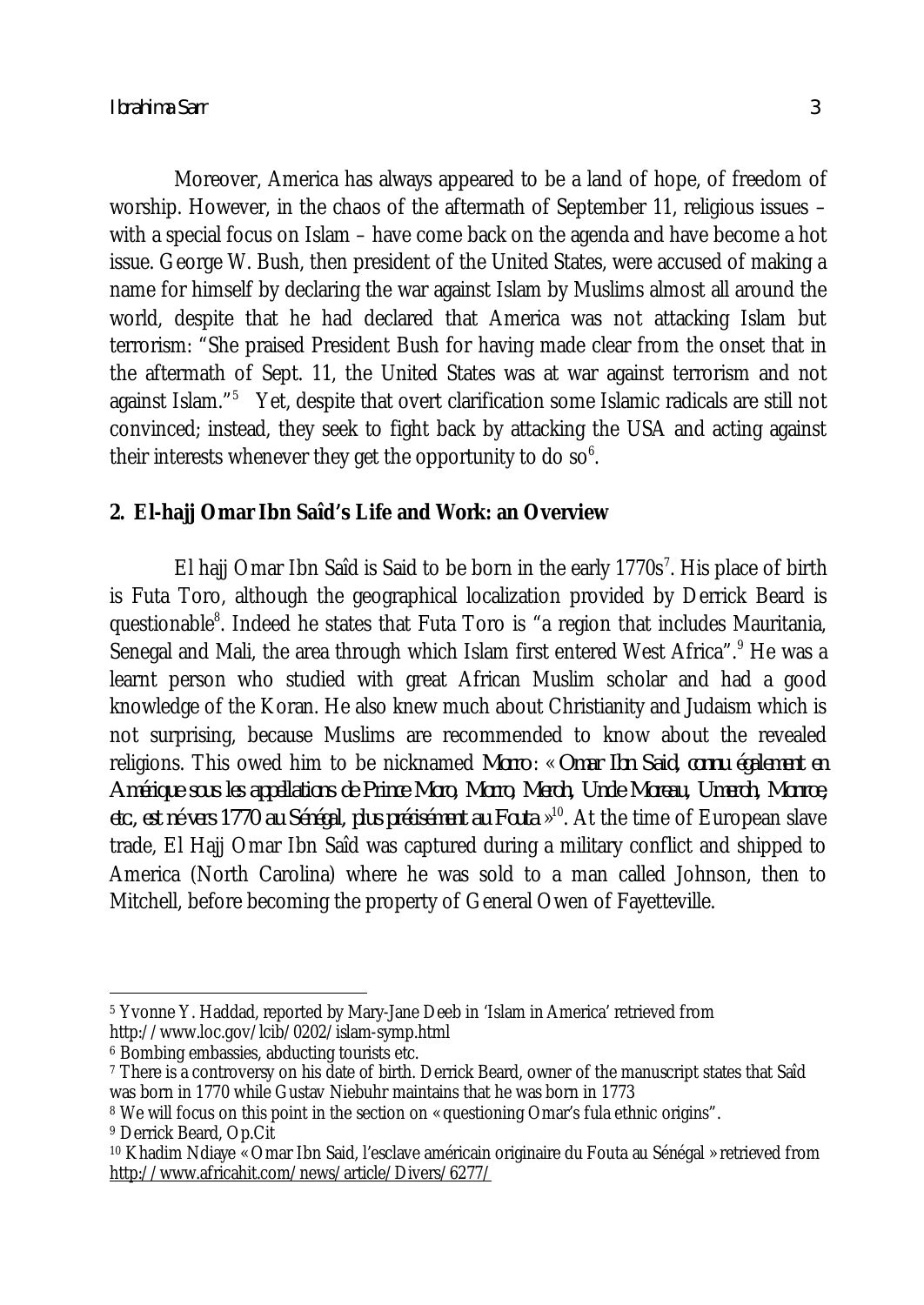Moreover, America has always appeared to be a land of hope, of freedom of worship. However, in the chaos of the aftermath of September 11, religious issues – with a special focus on Islam – have come back on the agenda and have become a hot issue. George W. Bush, then president of the United States, were accused of making a name for himself by declaring the war against Islam by Muslims almost all around the world, despite that he had declared that America was not attacking Islam but terrorism: "She praised President Bush for having made clear from the onset that in the aftermath of Sept. 11, the United States was at war against terrorism and not against Islam."<sup>5</sup> Yet, despite that overt clarification some Islamic radicals are still not convinced; instead, they seek to fight back by attacking the USA and acting against their interests whenever they get the opportunity to do so $^6$ .

# **2. El-hajj Omar Ibn Saîd's Life and Work: an Overview**

El hajj Omar Ibn Saîd is Said to be born in the early  $1770s^7$ . His place of birth is Futa Toro, although the geographical localization provided by Derrick Beard is questionable<sup>8</sup>. Indeed he states that Futa Toro is "a region that includes Mauritania, Senegal and Mali, the area through which Islam first entered West Africa".<sup>9</sup> He was a learnt person who studied with great African Muslim scholar and had a good knowledge of the Koran. He also knew much about Christianity and Judaism which is not surprising, because Muslims are recommended to know about the revealed religions. This owed him to be nicknamed *Morro* : « *Omar Ibn Said, connu également en Amérique sous les appellations de Prince Moro, Morro, Meroh, Uncle Moreau, Umeroh, Monroe, etc., est né vers 1770 au Sénégal, plus précisément au Fouta* » 10 . At the time of European slave trade, El Hajj Omar Ibn Saîd was captured during a military conflict and shipped to America (North Carolina) where he was sold to a man called Johnson, then to Mitchell, before becoming the property of General Owen of Fayetteville.

 $\overline{\phantom{a}}$ <sup>5</sup> Yvonne Y. Haddad, reported by Mary-Jane Deeb in 'Islam in America' retrieved from http://www.loc.gov/lcib/0202/islam-symp.html

<sup>6</sup> Bombing embassies, abducting tourists etc.

<sup>7</sup> There is a controversy on his date of birth. Derrick Beard, owner of the manuscript states that Saîd was born in 1770 while Gustav Niebuhr maintains that he was born in 1773

<sup>&</sup>lt;sup>8</sup> We will focus on this point in the section on « questioning Omar's fula ethnic origins".

<sup>9</sup> Derrick Beard, Op.Cit

<sup>10</sup> Khadim Ndiaye « Omar Ibn Said, l'esclave américain originaire du Fouta au Sénégal » retrieved from http://www.africahit.com/news/article/Divers/6277/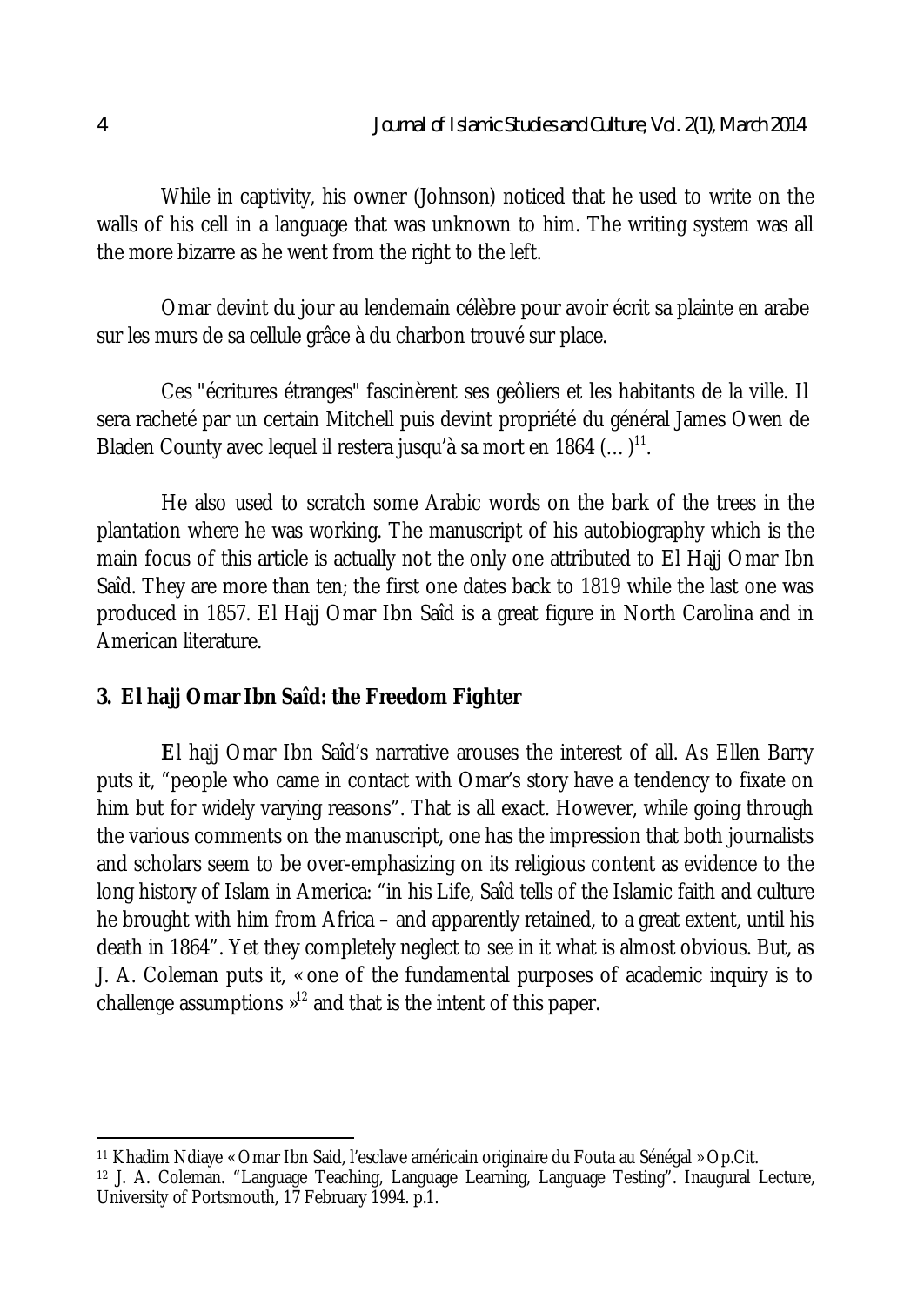While in captivity, his owner (Johnson) noticed that he used to write on the walls of his cell in a language that was unknown to him. The writing system was all the more bizarre as he went from the right to the left.

Omar devint du jour au lendemain célèbre pour avoir écrit sa plainte en arabe sur les murs de sa cellule grâce à du charbon trouvé sur place.

Ces "écritures étranges" fascinèrent ses geôliers et les habitants de la ville. Il sera racheté par un certain Mitchell puis devint propriété du général James Owen de Bladen County avec lequel il restera jusqu'à sa mort en 1864  $(...)$ <sup>11</sup>.

He also used to scratch some Arabic words on the bark of the trees in the plantation where he was working. The manuscript of his autobiography which is the main focus of this article is actually not the only one attributed to El Hajj Omar Ibn Saîd. They are more than ten; the first one dates back to 1819 while the last one was produced in 1857. El Hajj Omar Ibn Saîd is a great figure in North Carolina and in American literature.

### **3. El hajj Omar Ibn Saîd: the Freedom Fighter**

**E**l hajj Omar Ibn Saîd's narrative arouses the interest of all. As Ellen Barry puts it, "people who came in contact with Omar's story have a tendency to fixate on him but for widely varying reasons". That is all exact. However, while going through the various comments on the manuscript, one has the impression that both journalists and scholars seem to be over-emphasizing on its religious content as evidence to the long history of Islam in America: "in his Life, Saîd tells of the Islamic faith and culture he brought with him from Africa – and apparently retained, to a great extent, until his death in 1864". Yet they completely neglect to see in it what is almost obvious. But, as J. A. Coleman puts it, « one of the fundamental purposes of academic inquiry is to challenge assumptions  $\mathbb{a}^{12}$  and that is the intent of this paper.

 $\overline{a}$ <sup>11</sup> Khadim Ndiaye « Omar Ibn Said, l'esclave américain originaire du Fouta au Sénégal » Op.Cit.

<sup>12</sup> J. A. Coleman. "Language Teaching, Language Learning, Language Testing". Inaugural Lecture, University of Portsmouth, 17 February 1994. p.1.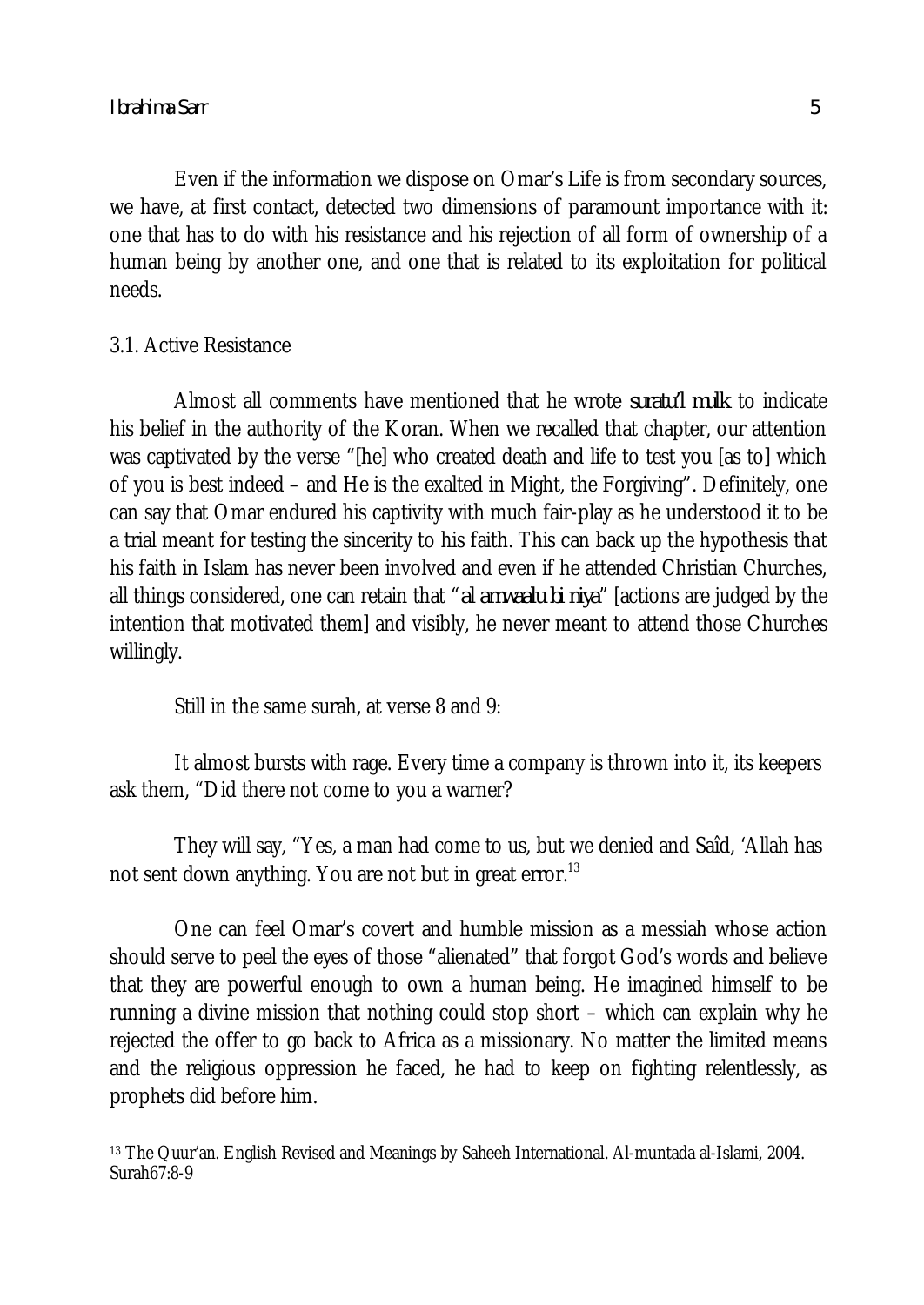Even if the information we dispose on Omar's Life is from secondary sources, we have, at first contact, detected two dimensions of paramount importance with it: one that has to do with his resistance and his rejection of all form of ownership of a human being by another one, and one that is related to its exploitation for political needs.

#### 3.1. Active Resistance

Almost all comments have mentioned that he wrote *suratu'l mulk* to indicate his belief in the authority of the Koran. When we recalled that chapter, our attention was captivated by the verse "[he] who created death and life to test you [as to] which of you is best indeed – and He is the exalted in Might, the Forgiving". Definitely, one can say that Omar endured his captivity with much fair-play as he understood it to be a trial meant for testing the sincerity to his faith. This can back up the hypothesis that his faith in Islam has never been involved and even if he attended Christian Churches, all things considered, one can retain that "*al amwaalu bi niya*" [actions are judged by the intention that motivated them] and visibly, he never meant to attend those Churches willingly.

Still in the same surah, at verse 8 and 9:

It almost bursts with rage. Every time a company is thrown into it, its keepers ask them, "Did there not come to you a warner?

They will say, "Yes, a man had come to us, but we denied and Saîd, 'Allah has not sent down anything. You are not but in great error.<sup>13</sup>

One can feel Omar's covert and humble mission as a messiah whose action should serve to peel the eyes of those "alienated" that forgot God's words and believe that they are powerful enough to own a human being. He imagined himself to be running a divine mission that nothing could stop short – which can explain why he rejected the offer to go back to Africa as a missionary. No matter the limited means and the religious oppression he faced, he had to keep on fighting relentlessly, as prophets did before him.

 $\overline{\phantom{a}}$ <sup>13</sup> The Quur'an. English Revised and Meanings by Saheeh International. Al-muntada al-Islami, 2004. Surah67:8-9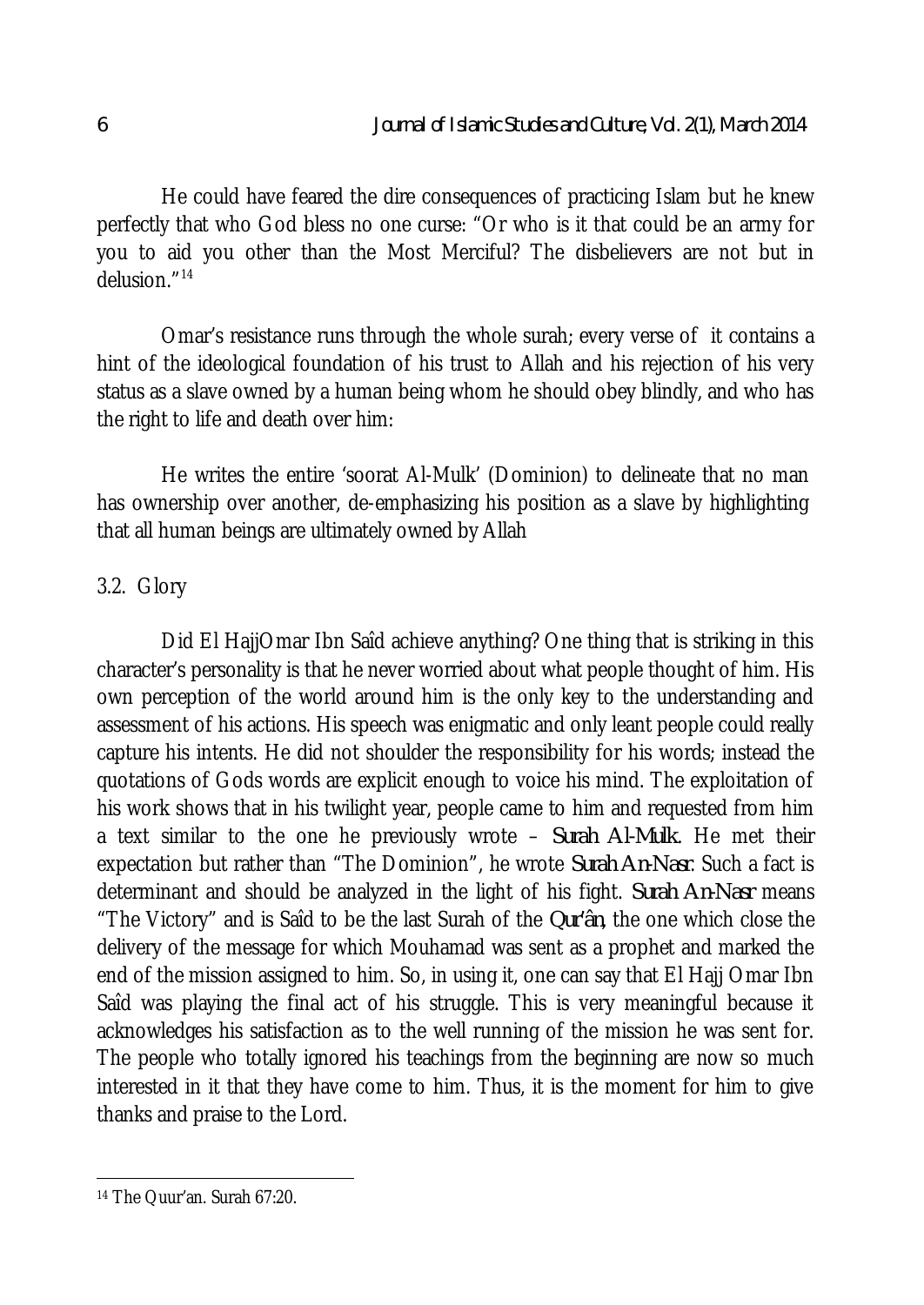He could have feared the dire consequences of practicing Islam but he knew perfectly that who God bless no one curse: "Or who is it that could be an army for you to aid you other than the Most Merciful? The disbelievers are not but in delusion."<sup>14</sup>

Omar's resistance runs through the whole surah; every verse of it contains a hint of the ideological foundation of his trust to Allah and his rejection of his very status as a slave owned by a human being whom he should obey blindly, and who has the right to life and death over him:

He writes the entire 'soorat Al-Mulk' (Dominion) to delineate that no man has ownership over another, de-emphasizing his position as a slave by highlighting that all human beings are ultimately owned by Allah

# 3.2. Glory

Did El HajjOmar Ibn Saîd achieve anything? One thing that is striking in this character's personality is that he never worried about what people thought of him. His own perception of the world around him is the only key to the understanding and assessment of his actions. His speech was enigmatic and only leant people could really capture his intents. He did not shoulder the responsibility for his words; instead the quotations of Gods words are explicit enough to voice his mind. The exploitation of his work shows that in his twilight year, people came to him and requested from him a text similar to the one he previously wrote – *Surah Al-Mulk*. He met their expectation but rather than "The Dominion", he wrote *Surah An-Nasr*. Such a fact is determinant and should be analyzed in the light of his fight. *Surah An-Nasr* means "The Victory" and is Saîd to be the last Surah of the *Qur'ân*, the one which close the delivery of the message for which Mouhamad was sent as a prophet and marked the end of the mission assigned to him. So, in using it, one can say that El Hajj Omar Ibn Saîd was playing the final act of his struggle. This is very meaningful because it acknowledges his satisfaction as to the well running of the mission he was sent for. The people who totally ignored his teachings from the beginning are now so much interested in it that they have come to him. Thus, it is the moment for him to give thanks and praise to the Lord.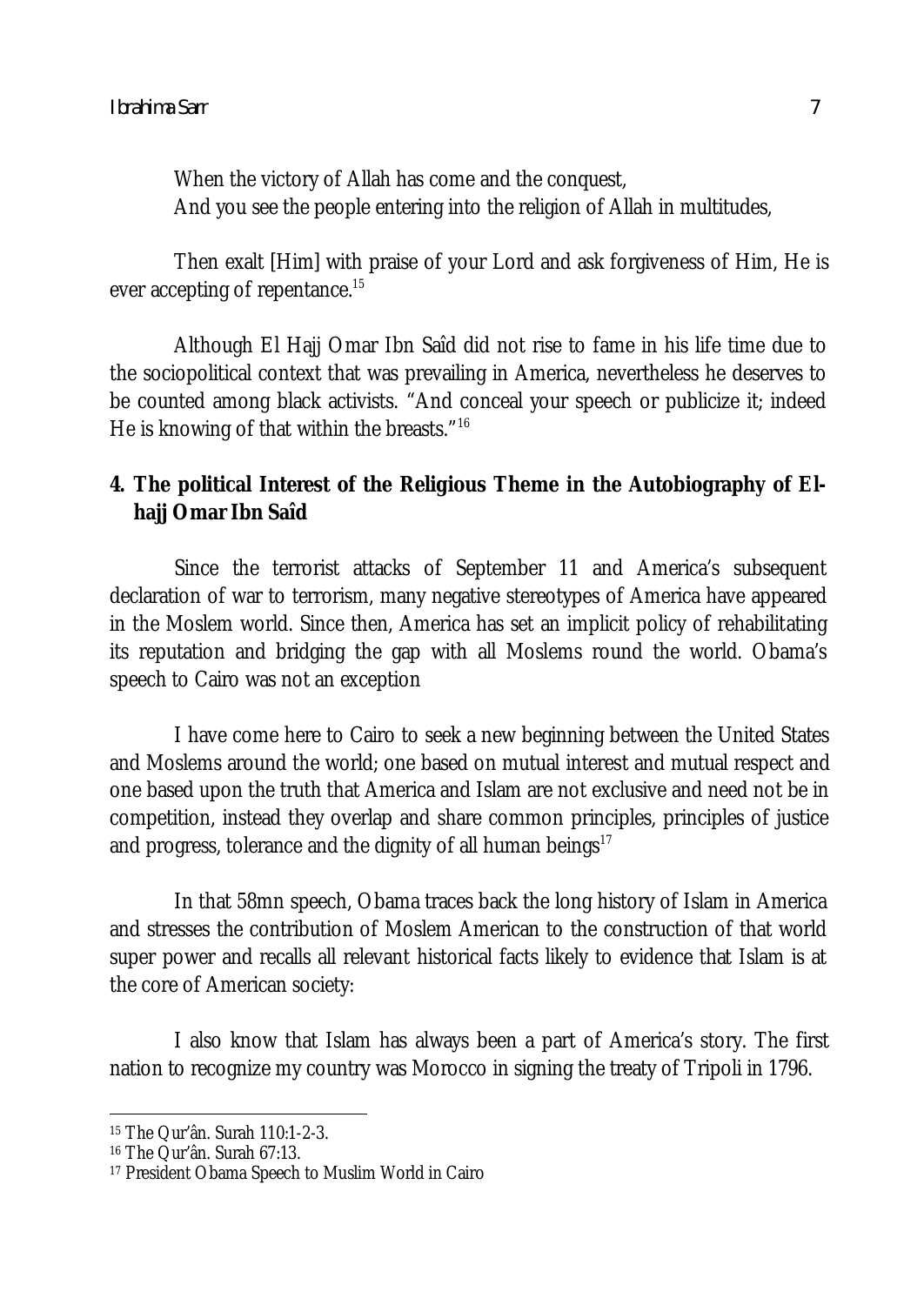When the victory of Allah has come and the conquest, And you see the people entering into the religion of Allah in multitudes,

Then exalt [Him] with praise of your Lord and ask forgiveness of Him, He is ever accepting of repentance.<sup>15</sup>

Although El Hajj Omar Ibn Saîd did not rise to fame in his life time due to the sociopolitical context that was prevailing in America, nevertheless he deserves to be counted among black activists. "And conceal your speech or publicize it; indeed He is knowing of that within the breasts."<sup>16</sup>

# **4. The political Interest of the Religious Theme in the Autobiography of Elhajj Omar Ibn Saîd**

Since the terrorist attacks of September 11 and America's subsequent declaration of war to terrorism, many negative stereotypes of America have appeared in the Moslem world. Since then, America has set an implicit policy of rehabilitating its reputation and bridging the gap with all Moslems round the world. Obama's speech to Cairo was not an exception

I have come here to Cairo to seek a new beginning between the United States and Moslems around the world; one based on mutual interest and mutual respect and one based upon the truth that America and Islam are not exclusive and need not be in competition, instead they overlap and share common principles, principles of justice and progress, tolerance and the dignity of all human beings $17$ 

In that 58mn speech, Obama traces back the long history of Islam in America and stresses the contribution of Moslem American to the construction of that world super power and recalls all relevant historical facts likely to evidence that Islam is at the core of American society:

I also know that Islam has always been a part of America's story. The first nation to recognize my country was Morocco in signing the treaty of Tripoli in 1796.

 $\overline{\phantom{a}}$ <sup>15</sup> The Qur'ân. Surah 110:1-2-3.

<sup>16</sup> The Qur'ân. Surah 67:13.

<sup>17</sup> President Obama Speech to Muslim World in Cairo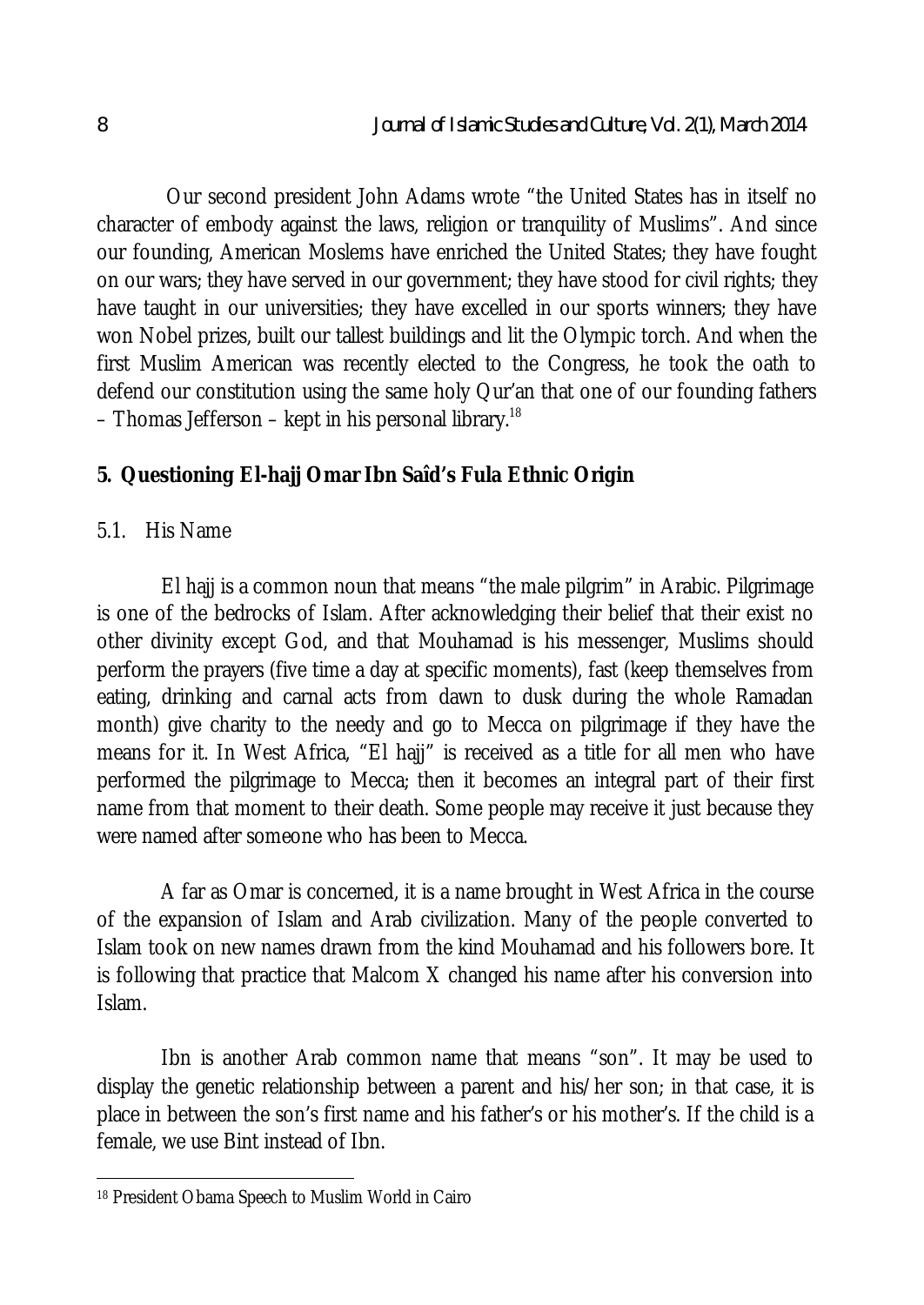Our second president John Adams wrote "the United States has in itself no character of embody against the laws, religion or tranquility of Muslims". And since our founding, American Moslems have enriched the United States; they have fought on our wars; they have served in our government; they have stood for civil rights; they have taught in our universities; they have excelled in our sports winners; they have won Nobel prizes, built our tallest buildings and lit the Olympic torch. And when the first Muslim American was recently elected to the Congress, he took the oath to defend our constitution using the same holy Qur'an that one of our founding fathers – Thomas Jefferson – kept in his personal library.<sup>18</sup>

# **5. Questioning El-hajj Omar Ibn Saîd's Fula Ethnic Origin**

#### 5.1. His Name

El hajj is a common noun that means "the male pilgrim" in Arabic. Pilgrimage is one of the bedrocks of Islam. After acknowledging their belief that their exist no other divinity except God, and that Mouhamad is his messenger, Muslims should perform the prayers (five time a day at specific moments), fast (keep themselves from eating, drinking and carnal acts from dawn to dusk during the whole Ramadan month) give charity to the needy and go to Mecca on pilgrimage if they have the means for it. In West Africa, "El hajj" is received as a title for all men who have performed the pilgrimage to Mecca; then it becomes an integral part of their first name from that moment to their death. Some people may receive it just because they were named after someone who has been to Mecca.

A far as Omar is concerned, it is a name brought in West Africa in the course of the expansion of Islam and Arab civilization. Many of the people converted to Islam took on new names drawn from the kind Mouhamad and his followers bore. It is following that practice that Malcom X changed his name after his conversion into Islam.

Ibn is another Arab common name that means "son". It may be used to display the genetic relationship between a parent and his/her son; in that case, it is place in between the son's first name and his father's or his mother's. If the child is a female, we use Bint instead of Ibn.

 $\overline{\phantom{a}}$ <sup>18</sup> President Obama Speech to Muslim World in Cairo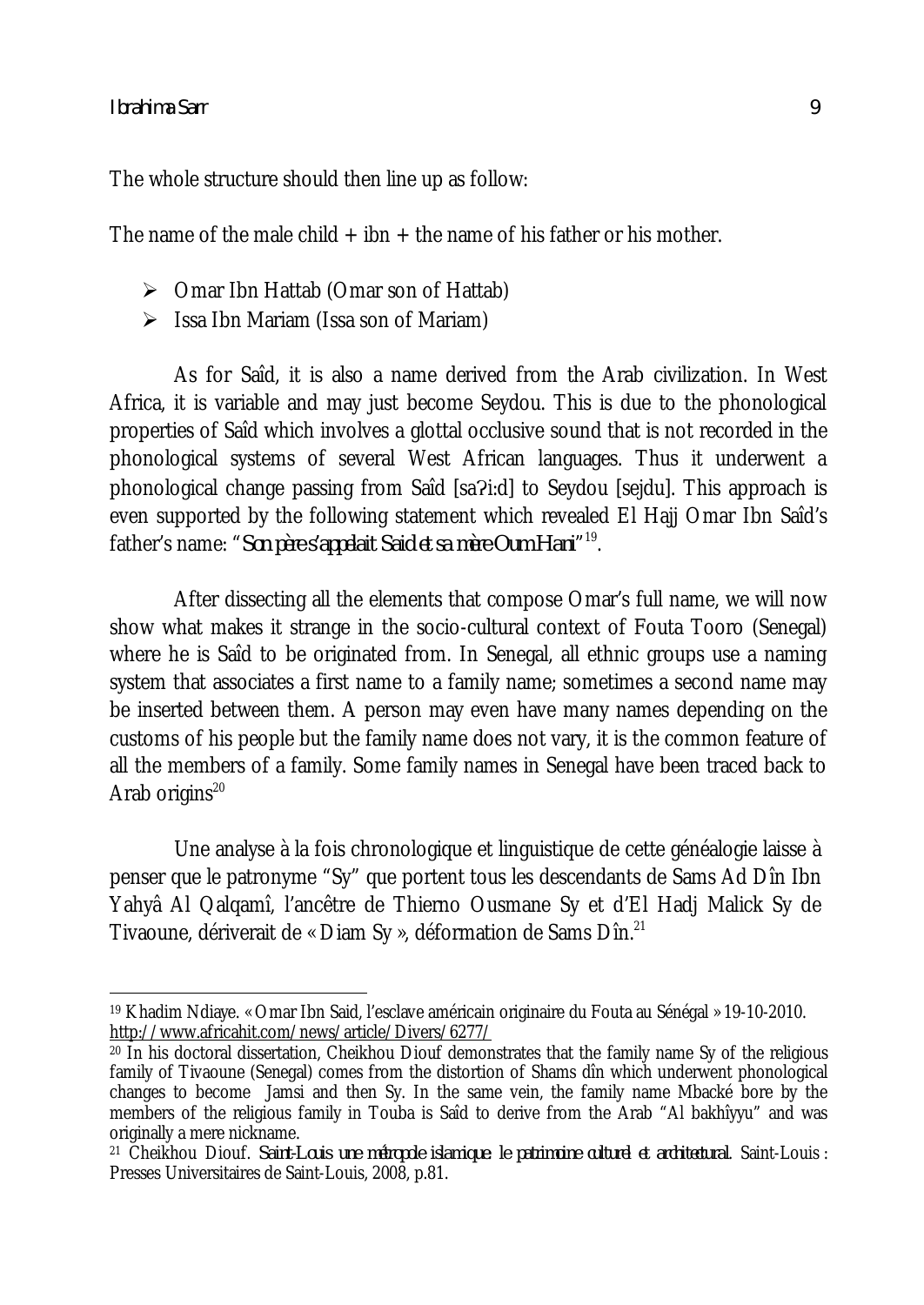$\overline{\phantom{a}}$ 

The whole structure should then line up as follow:

The name of the male child  $+$  ibn  $+$  the name of his father or his mother.

- $\triangleright$  Omar Ibn Hattab (Omar son of Hattab)
- $\triangleright$  Issa Ibn Mariam (Issa son of Mariam)

As for Saîd, it is also a name derived from the Arab civilization. In West Africa, it is variable and may just become Seydou. This is due to the phonological properties of Saîd which involves a glottal occlusive sound that is not recorded in the phonological systems of several West African languages. Thus it underwent a phonological change passing from Saîd [sa?i:d] to Seydou [sejdu]. This approach is even supported by the following statement which revealed El Hajj Omar Ibn Saîd's father's name: "*Son père s'appelait Said et sa mère Oum Hani*" 19 .

After dissecting all the elements that compose Omar's full name, we will now show what makes it strange in the socio-cultural context of Fouta Tooro (Senegal) where he is Saîd to be originated from. In Senegal, all ethnic groups use a naming system that associates a first name to a family name; sometimes a second name may be inserted between them. A person may even have many names depending on the customs of his people but the family name does not vary, it is the common feature of all the members of a family. Some family names in Senegal have been traced back to Arab origins $^{20}$ 

Une analyse à la fois chronologique et linguistique de cette généalogie laisse à penser que le patronyme "Sy" que portent tous les descendants de Sams Ad Dîn Ibn Yahyâ Al Qalqamî, l'ancêtre de Thierno Ousmane Sy et d'El Hadj Malick Sy de Tivaoune, dériverait de « Diam Sy », déformation de Sams Dîn.<sup>21</sup>

<sup>19</sup> Khadim Ndiaye. « Omar Ibn Said, l'esclave américain originaire du Fouta au Sénégal » 19-10-2010. http://www.africahit.com/news/article/Divers/6277/

 $20$  In his doctoral dissertation, Cheikhou Diouf demonstrates that the family name Sy of the religious family of Tivaoune (Senegal) comes from the distortion of Shams dîn which underwent phonological changes to become Jamsi and then Sy. In the same vein, the family name Mbacké bore by the members of the religious family in Touba is Saîd to derive from the Arab "Al bakhîyyu" and was originally a mere nickname.

<sup>21</sup> Cheikhou Diouf. *Saint-Louis une métropole islamique: le patrimoine culturel et architectural*. Saint-Louis : Presses Universitaires de Saint-Louis, 2008, p.81.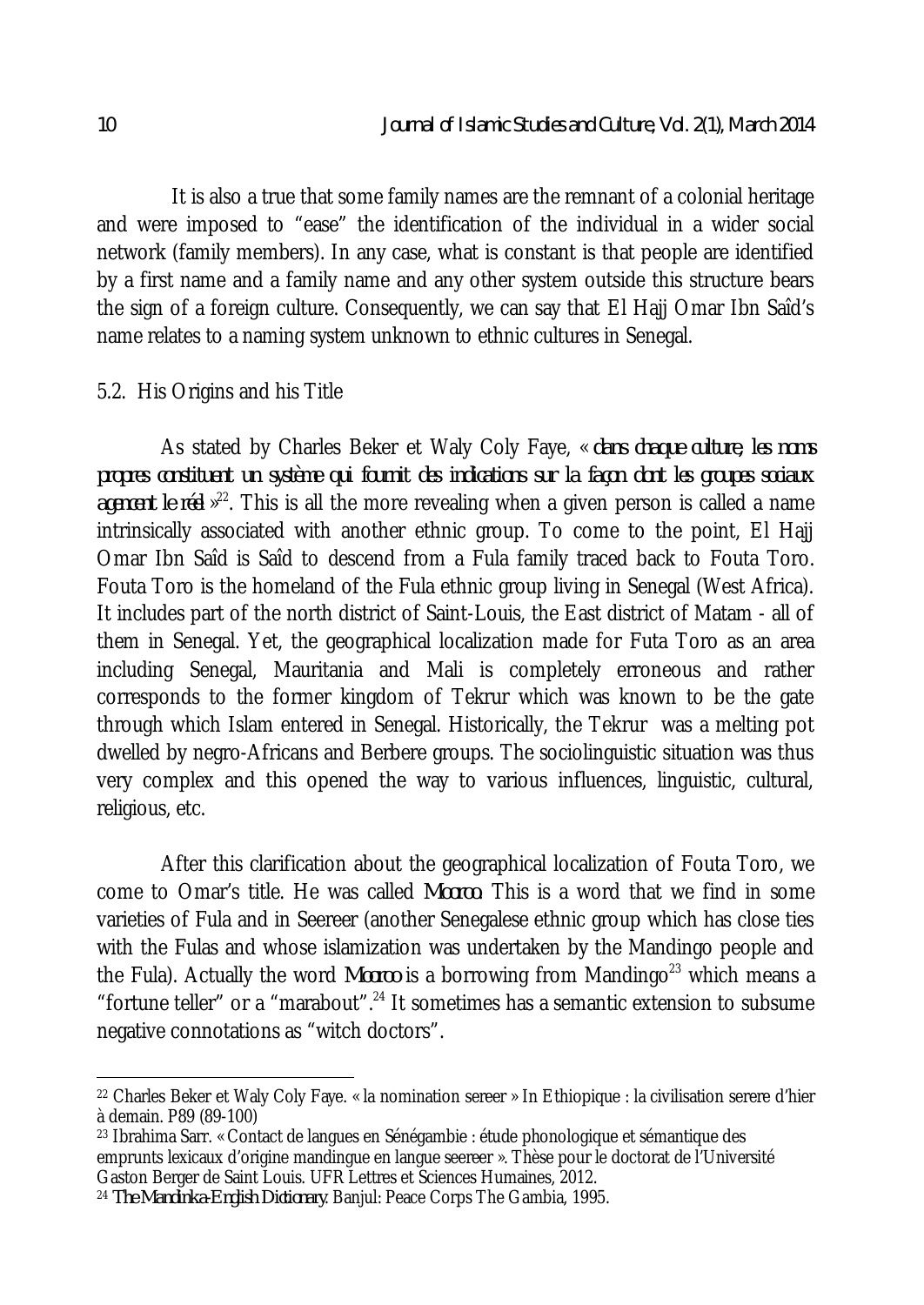It is also a true that some family names are the remnant of a colonial heritage and were imposed to "ease" the identification of the individual in a wider social network (family members). In any case, what is constant is that people are identified by a first name and a family name and any other system outside this structure bears the sign of a foreign culture. Consequently, we can say that El Hajj Omar Ibn Saîd's name relates to a naming system unknown to ethnic cultures in Senegal.

#### 5.2. His Origins and his Title

As stated by Charles Beker et Waly Coly Faye, « *dans chaque culture, les noms propres constituent un système qui fournit des indications sur la façon dont les groupes sociaux*  agencent le réel »<sup>22</sup>. This is all the more revealing when a given person is called a name intrinsically associated with another ethnic group. To come to the point, El Hajj Omar Ibn Saîd is Saîd to descend from a Fula family traced back to Fouta Toro. Fouta Toro is the homeland of the Fula ethnic group living in Senegal (West Africa). It includes part of the north district of Saint-Louis, the East district of Matam - all of them in Senegal. Yet, the geographical localization made for Futa Toro as an area including Senegal, Mauritania and Mali is completely erroneous and rather corresponds to the former kingdom of Tekrur which was known to be the gate through which Islam entered in Senegal. Historically, the Tekrur was a melting pot dwelled by negro-Africans and Berbere groups. The sociolinguistic situation was thus very complex and this opened the way to various influences, linguistic, cultural, religious, etc.

After this clarification about the geographical localization of Fouta Toro, we come to Omar's title. He was called *Mooroo*. This is a word that we find in some varieties of Fula and in Seereer (another Senegalese ethnic group which has close ties with the Fulas and whose islamization was undertaken by the Mandingo people and the Fula). Actually the word *Mooroo* is a borrowing from Mandingo<sup>23</sup> which means a "fortune teller" or a "marabout".<sup>24</sup> It sometimes has a semantic extension to subsume negative connotations as "witch doctors".

 $\overline{a}$ 

<sup>22</sup> Charles Beker et Waly Coly Faye. « la nomination sereer » In Ethiopique : la civilisation serere d'hier à demain. P89 (89-100)

<sup>23</sup> Ibrahima Sarr. « Contact de langues en Sénégambie : étude phonologique et sémantique des emprunts lexicaux d'origine mandingue en langue seereer ». Thèse pour le doctorat de l'Université Gaston Berger de Saint Louis. UFR Lettres et Sciences Humaines, 2012.

<sup>24</sup> *The Mandinka-English Dictionary*. Banjul: Peace Corps The Gambia, 1995.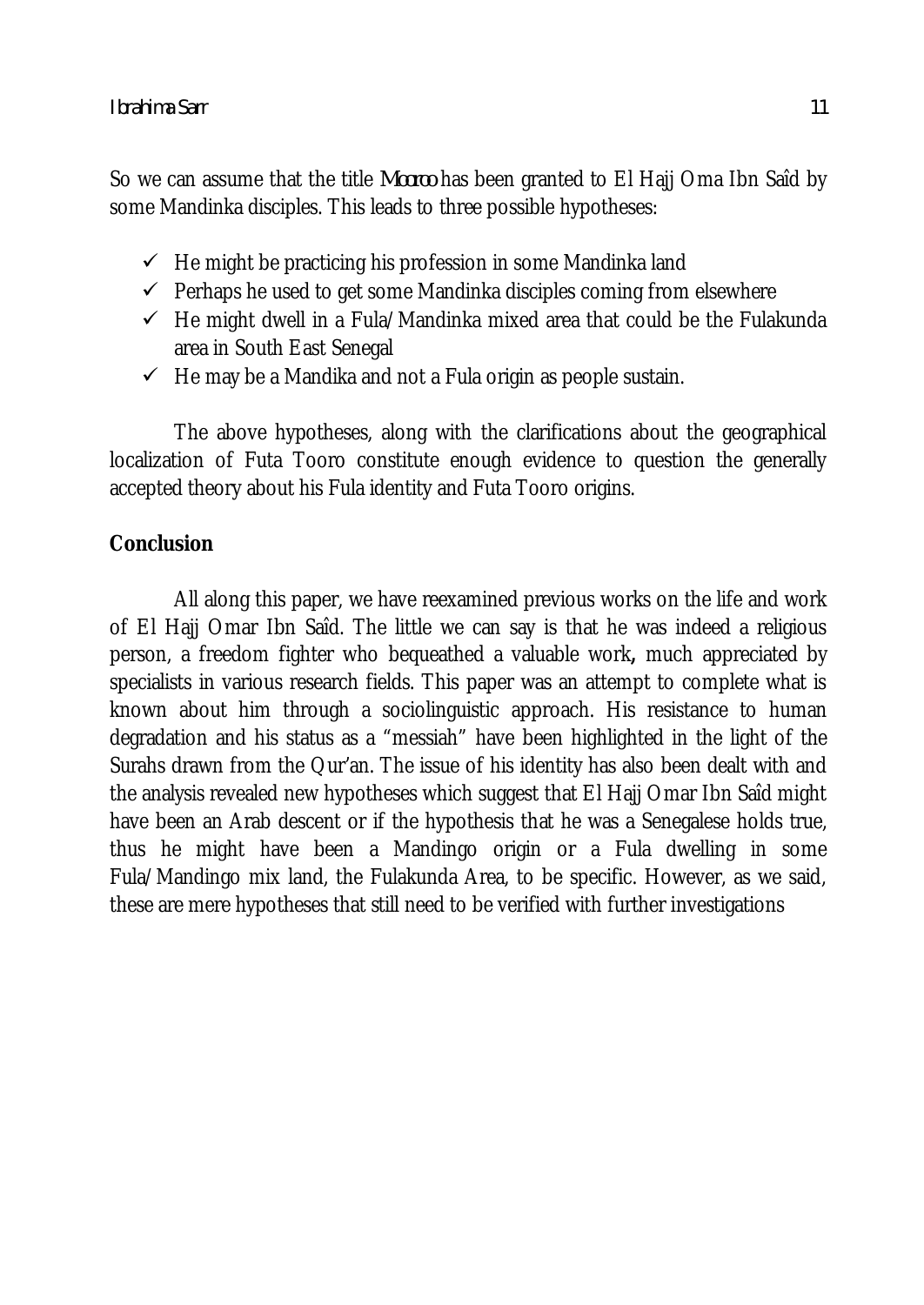So we can assume that the title *Mooroo* has been granted to El Hajj Oma Ibn Saîd by some Mandinka disciples. This leads to three possible hypotheses:

- $\checkmark$  He might be practicing his profession in some Mandinka land
- $\checkmark$  Perhaps he used to get some Mandinka disciples coming from elsewhere
- $\checkmark$  He might dwell in a Fula/Mandinka mixed area that could be the Fulakunda area in South East Senegal
- $\checkmark$  He may be a Mandika and not a Fula origin as people sustain.

The above hypotheses, along with the clarifications about the geographical localization of Futa Tooro constitute enough evidence to question the generally accepted theory about his Fula identity and Futa Tooro origins.

# **Conclusion**

All along this paper, we have reexamined previous works on the life and work of El Hajj Omar Ibn Saîd. The little we can say is that he was indeed a religious person, a freedom fighter who bequeathed a valuable work**,** much appreciated by specialists in various research fields. This paper was an attempt to complete what is known about him through a sociolinguistic approach. His resistance to human degradation and his status as a "messiah" have been highlighted in the light of the Surahs drawn from the Qur'an. The issue of his identity has also been dealt with and the analysis revealed new hypotheses which suggest that El Hajj Omar Ibn Saîd might have been an Arab descent or if the hypothesis that he was a Senegalese holds true, thus he might have been a Mandingo origin or a Fula dwelling in some Fula/Mandingo mix land, the Fulakunda Area, to be specific. However, as we said, these are mere hypotheses that still need to be verified with further investigations